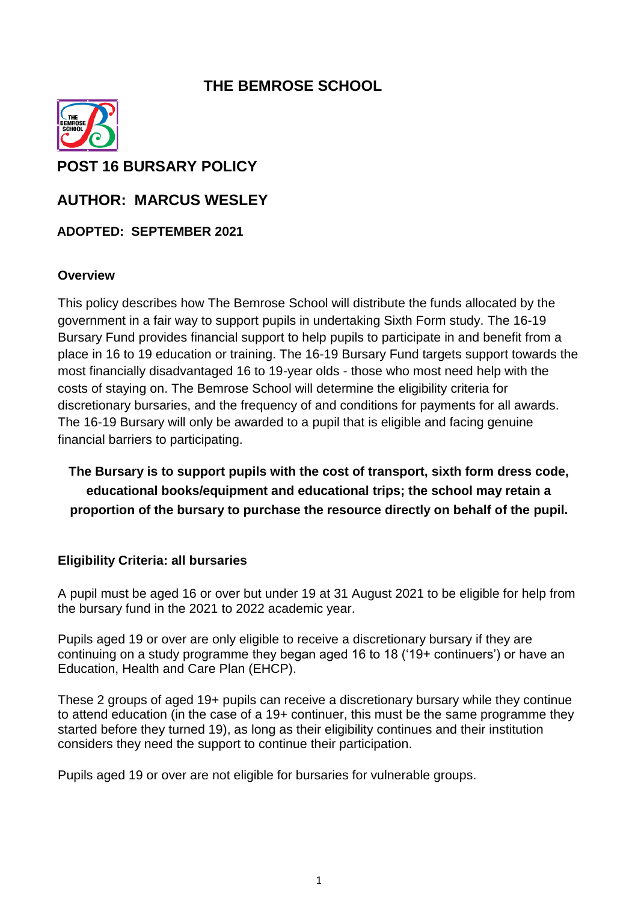# **THE BEMROSE SCHOOL**



**POST 16 BURSARY POLICY** 

**AUTHOR: MARCUS WESLEY**

**ADOPTED: SEPTEMBER 2021**

#### **Overview**

This policy describes how The Bemrose School will distribute the funds allocated by the government in a fair way to support pupils in undertaking Sixth Form study. The 16-19 Bursary Fund provides financial support to help pupils to participate in and benefit from a place in 16 to 19 education or training. The 16-19 Bursary Fund targets support towards the most financially disadvantaged 16 to 19-year olds - those who most need help with the costs of staying on. The Bemrose School will determine the eligibility criteria for discretionary bursaries, and the frequency of and conditions for payments for all awards. The 16-19 Bursary will only be awarded to a pupil that is eligible and facing genuine financial barriers to participating.

**The Bursary is to support pupils with the cost of transport, sixth form dress code, educational books/equipment and educational trips; the school may retain a proportion of the bursary to purchase the resource directly on behalf of the pupil.**

#### **Eligibility Criteria: all bursaries**

A pupil must be aged 16 or over but under 19 at 31 August 2021 to be eligible for help from the bursary fund in the 2021 to 2022 academic year.

Pupils aged 19 or over are only eligible to receive a discretionary bursary if they are continuing on a study programme they began aged 16 to 18 ('19+ continuers') or have an Education, Health and Care Plan (EHCP).

These 2 groups of aged 19+ pupils can receive a discretionary bursary while they continue to attend education (in the case of a 19+ continuer, this must be the same programme they started before they turned 19), as long as their eligibility continues and their institution considers they need the support to continue their participation.

Pupils aged 19 or over are not eligible for bursaries for vulnerable groups.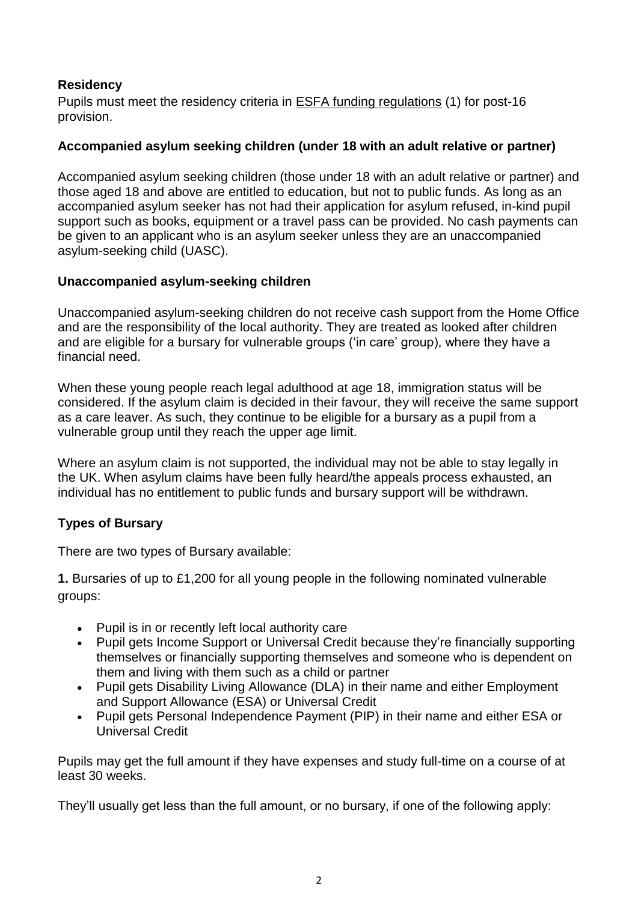## **Residency**

Pupils must meet the residency criteria in ESFA funding [regulations](https://www.gov.uk/government/publications/advice-funding-regulations-for-post-16-provision) (1) for post-16 provision.

### **Accompanied asylum seeking children (under 18 with an adult relative or partner)**

Accompanied asylum seeking children (those under 18 with an adult relative or partner) and those aged 18 and above are entitled to education, but not to public funds. As long as an accompanied asylum seeker has not had their application for asylum refused, in-kind pupil support such as books, equipment or a travel pass can be provided. No cash payments can be given to an applicant who is an asylum seeker unless they are an unaccompanied asylum-seeking child (UASC).

#### **Unaccompanied asylum-seeking children**

Unaccompanied asylum-seeking children do not receive cash support from the Home Office and are the responsibility of the local authority. They are treated as looked after children and are eligible for a bursary for vulnerable groups ('in care' group), where they have a financial need.

When these young people reach legal adulthood at age 18, immigration status will be considered. If the asylum claim is decided in their favour, they will receive the same support as a care leaver. As such, they continue to be eligible for a bursary as a pupil from a vulnerable group until they reach the upper age limit.

Where an asylum claim is not supported, the individual may not be able to stay legally in the UK. When asylum claims have been fully heard/the appeals process exhausted, an individual has no entitlement to public funds and bursary support will be withdrawn.

### **Types of Bursary**

There are two types of Bursary available:

**1.** Bursaries of up to £1,200 for all young people in the following nominated vulnerable groups:

- Pupil is in or recently left local authority care
- Pupil gets Income Support or Universal Credit because they're financially supporting themselves or financially supporting themselves and someone who is dependent on them and living with them such as a child or partner
- Pupil gets Disability Living Allowance (DLA) in their name and either Employment and Support Allowance (ESA) or Universal Credit
- Pupil gets Personal Independence Payment (PIP) in their name and either ESA or Universal Credit

Pupils may get the full amount if they have expenses and study full-time on a course of at least 30 weeks.

They'll usually get less than the full amount, or no bursary, if one of the following apply: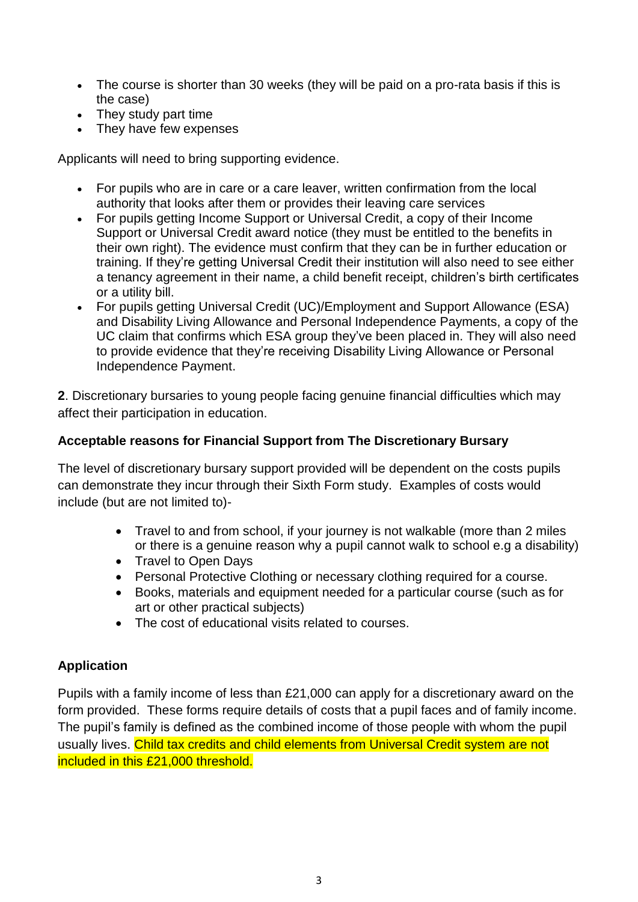- The course is shorter than 30 weeks (they will be paid on a pro-rata basis if this is the case)
- They study part time
- They have few expenses

Applicants will need to bring supporting evidence.

- For pupils who are in care or a care leaver, written confirmation from the local authority that looks after them or provides their leaving care services
- For pupils getting Income Support or Universal Credit, a copy of their Income Support or Universal Credit award notice (they must be entitled to the benefits in their own right). The evidence must confirm that they can be in further education or training. If they're getting Universal Credit their institution will also need to see either a tenancy agreement in their name, a child benefit receipt, children's birth certificates or a utility bill.
- For pupils getting Universal Credit (UC)/Employment and Support Allowance (ESA) and Disability Living Allowance and Personal Independence Payments, a copy of the UC claim that confirms which ESA group they've been placed in. They will also need to provide evidence that they're receiving Disability Living Allowance or Personal Independence Payment.

**2**. Discretionary bursaries to young people facing genuine financial difficulties which may affect their participation in education.

## **Acceptable reasons for Financial Support from The Discretionary Bursary**

The level of discretionary bursary support provided will be dependent on the costs pupils can demonstrate they incur through their Sixth Form study. Examples of costs would include (but are not limited to)-

- Travel to and from school, if your journey is not walkable (more than 2 miles or there is a genuine reason why a pupil cannot walk to school e.g a disability)
- Travel to Open Days
- Personal Protective Clothing or necessary clothing required for a course.
- Books, materials and equipment needed for a particular course (such as for art or other practical subjects)
- The cost of educational visits related to courses.

## **Application**

Pupils with a family income of less than £21,000 can apply for a discretionary award on the form provided. These forms require details of costs that a pupil faces and of family income. The pupil's family is defined as the combined income of those people with whom the pupil usually lives. Child tax credits and child elements from Universal Credit system are not included in this £21,000 threshold.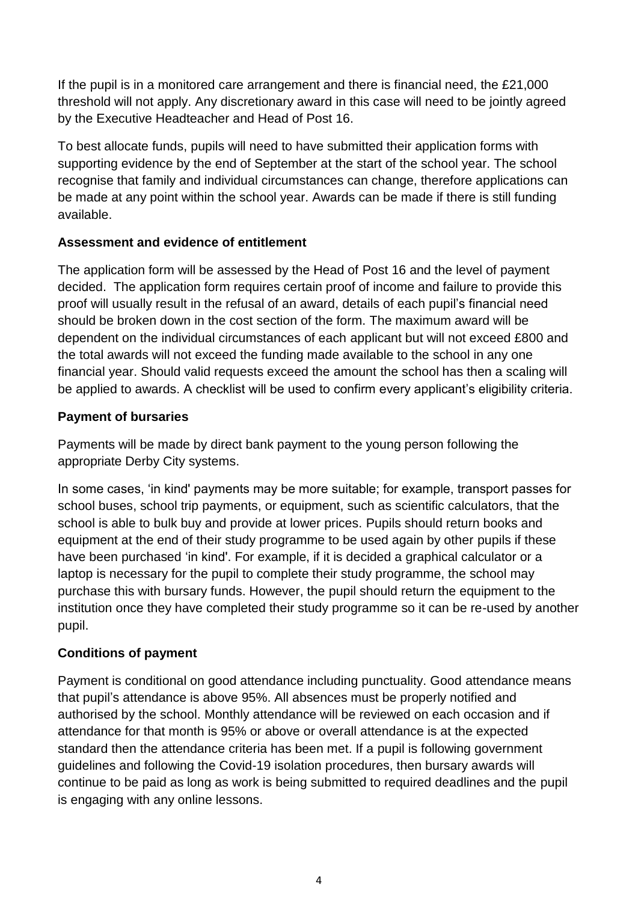If the pupil is in a monitored care arrangement and there is financial need, the £21,000 threshold will not apply. Any discretionary award in this case will need to be jointly agreed by the Executive Headteacher and Head of Post 16.

To best allocate funds, pupils will need to have submitted their application forms with supporting evidence by the end of September at the start of the school year. The school recognise that family and individual circumstances can change, therefore applications can be made at any point within the school year. Awards can be made if there is still funding available.

## **Assessment and evidence of entitlement**

The application form will be assessed by the Head of Post 16 and the level of payment decided. The application form requires certain proof of income and failure to provide this proof will usually result in the refusal of an award, details of each pupil's financial need should be broken down in the cost section of the form. The maximum award will be dependent on the individual circumstances of each applicant but will not exceed £800 and the total awards will not exceed the funding made available to the school in any one financial year. Should valid requests exceed the amount the school has then a scaling will be applied to awards. A checklist will be used to confirm every applicant's eligibility criteria.

## **Payment of bursaries**

Payments will be made by direct bank payment to the young person following the appropriate Derby City systems.

In some cases, 'in kind' payments may be more suitable; for example, transport passes for school buses, school trip payments, or equipment, such as scientific calculators, that the school is able to bulk buy and provide at lower prices. Pupils should return books and equipment at the end of their study programme to be used again by other pupils if these have been purchased 'in kind'. For example, if it is decided a graphical calculator or a laptop is necessary for the pupil to complete their study programme, the school may purchase this with bursary funds. However, the pupil should return the equipment to the institution once they have completed their study programme so it can be re-used by another pupil.

## **Conditions of payment**

Payment is conditional on good attendance including punctuality. Good attendance means that pupil's attendance is above 95%. All absences must be properly notified and authorised by the school. Monthly attendance will be reviewed on each occasion and if attendance for that month is 95% or above or overall attendance is at the expected standard then the attendance criteria has been met. If a pupil is following government guidelines and following the Covid-19 isolation procedures, then bursary awards will continue to be paid as long as work is being submitted to required deadlines and the pupil is engaging with any online lessons.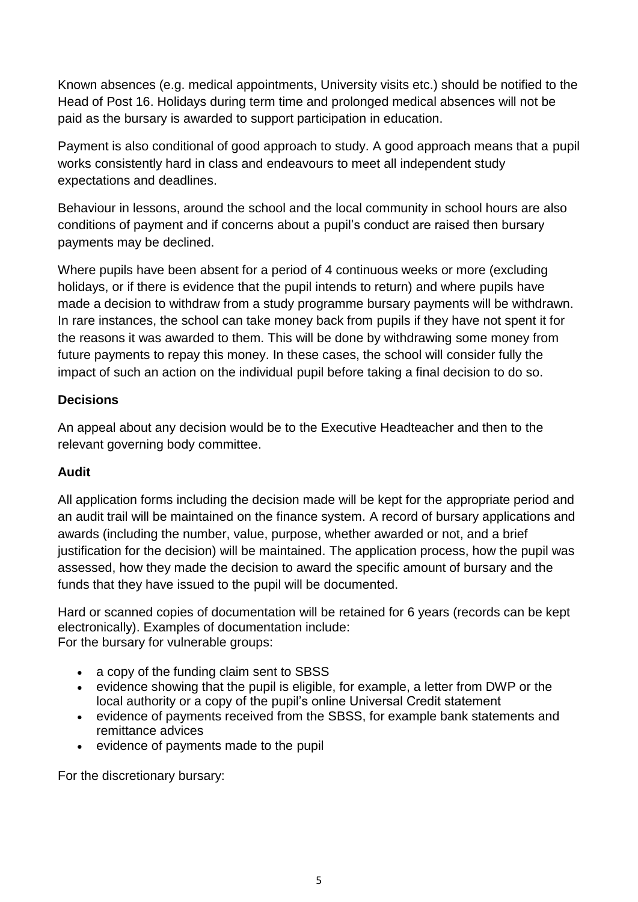Known absences (e.g. medical appointments, University visits etc.) should be notified to the Head of Post 16. Holidays during term time and prolonged medical absences will not be paid as the bursary is awarded to support participation in education.

Payment is also conditional of good approach to study. A good approach means that a pupil works consistently hard in class and endeavours to meet all independent study expectations and deadlines.

Behaviour in lessons, around the school and the local community in school hours are also conditions of payment and if concerns about a pupil's conduct are raised then bursary payments may be declined.

Where pupils have been absent for a period of 4 continuous weeks or more (excluding holidays, or if there is evidence that the pupil intends to return) and where pupils have made a decision to withdraw from a study programme bursary payments will be withdrawn. In rare instances, the school can take money back from pupils if they have not spent it for the reasons it was awarded to them. This will be done by withdrawing some money from future payments to repay this money. In these cases, the school will consider fully the impact of such an action on the individual pupil before taking a final decision to do so.

### **Decisions**

An appeal about any decision would be to the Executive Headteacher and then to the relevant governing body committee.

## **Audit**

All application forms including the decision made will be kept for the appropriate period and an audit trail will be maintained on the finance system. A record of bursary applications and awards (including the number, value, purpose, whether awarded or not, and a brief justification for the decision) will be maintained. The application process, how the pupil was assessed, how they made the decision to award the specific amount of bursary and the funds that they have issued to the pupil will be documented.

Hard or scanned copies of documentation will be retained for 6 years (records can be kept electronically). Examples of documentation include: For the bursary for vulnerable groups:

- a copy of the funding claim sent to SBSS
- evidence showing that the pupil is eligible, for example, a letter from DWP or the local authority or a copy of the pupil's online Universal Credit statement
- evidence of payments received from the SBSS, for example bank statements and remittance advices
- evidence of payments made to the pupil

For the discretionary bursary: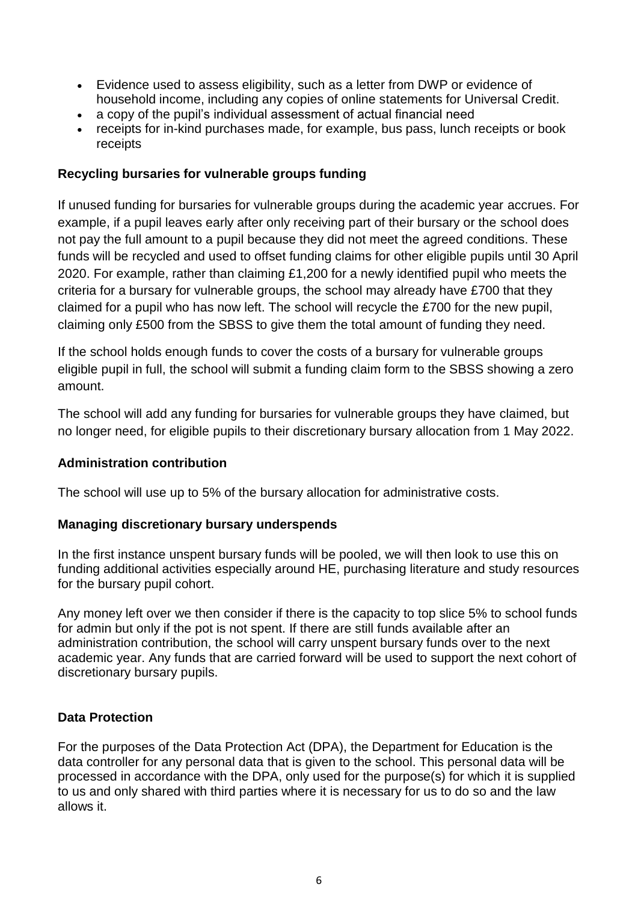- Evidence used to assess eligibility, such as a letter from DWP or evidence of household income, including any copies of online statements for Universal Credit.
- a copy of the pupil's individual assessment of actual financial need
- receipts for in-kind purchases made, for example, bus pass, lunch receipts or book receipts

### **Recycling bursaries for vulnerable groups funding**

If unused funding for bursaries for vulnerable groups during the academic year accrues. For example, if a pupil leaves early after only receiving part of their bursary or the school does not pay the full amount to a pupil because they did not meet the agreed conditions. These funds will be recycled and used to offset funding claims for other eligible pupils until 30 April 2020. For example, rather than claiming £1,200 for a newly identified pupil who meets the criteria for a bursary for vulnerable groups, the school may already have £700 that they claimed for a pupil who has now left. The school will recycle the £700 for the new pupil, claiming only £500 from the SBSS to give them the total amount of funding they need.

If the school holds enough funds to cover the costs of a bursary for vulnerable groups eligible pupil in full, the school will submit a funding claim form to the SBSS showing a zero amount.

The school will add any funding for bursaries for vulnerable groups they have claimed, but no longer need, for eligible pupils to their discretionary bursary allocation from 1 May 2022.

#### **Administration contribution**

The school will use up to 5% of the bursary allocation for administrative costs.

#### **Managing discretionary bursary underspends**

In the first instance unspent bursary funds will be pooled, we will then look to use this on funding additional activities especially around HE, purchasing literature and study resources for the bursary pupil cohort.

Any money left over we then consider if there is the capacity to top slice 5% to school funds for admin but only if the pot is not spent. If there are still funds available after an administration contribution, the school will carry unspent bursary funds over to the next academic year. Any funds that are carried forward will be used to support the next cohort of discretionary bursary pupils.

#### **Data Protection**

For the purposes of the Data Protection Act (DPA), the Department for Education is the data controller for any personal data that is given to the school. This personal data will be processed in accordance with the DPA, only used for the purpose(s) for which it is supplied to us and only shared with third parties where it is necessary for us to do so and the law allows it.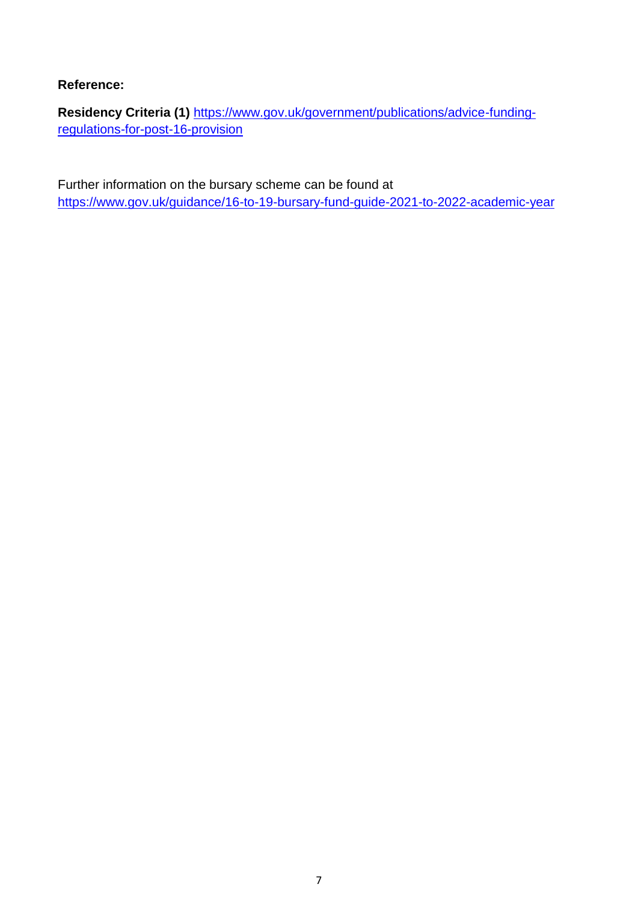### **Reference:**

**Residency Criteria (1)** [https://www.gov.uk/government/publications/advice-funding](https://www.gov.uk/government/publications/advice-funding-regulations-for-post-16-provision)[regulations-for-post-16-provision](https://www.gov.uk/government/publications/advice-funding-regulations-for-post-16-provision)

Further information on the bursary scheme can be found at <https://www.gov.uk/guidance/16-to-19-bursary-fund-guide-2021-to-2022-academic-year>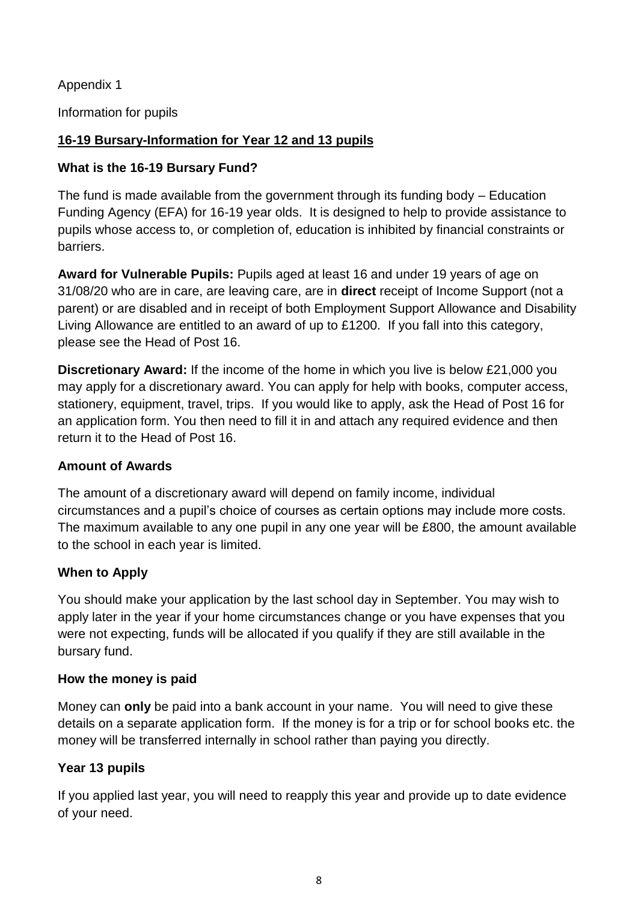Appendix 1

Information for pupils

## **16-19 Bursary-Information for Year 12 and 13 pupils**

## **What is the 16-19 Bursary Fund?**

The fund is made available from the government through its funding body – Education Funding Agency (EFA) for 16-19 year olds. It is designed to help to provide assistance to pupils whose access to, or completion of, education is inhibited by financial constraints or barriers.

**Award for Vulnerable Pupils:** Pupils aged at least 16 and under 19 years of age on 31/08/20 who are in care, are leaving care, are in **direct** receipt of Income Support (not a parent) or are disabled and in receipt of both Employment Support Allowance and Disability Living Allowance are entitled to an award of up to £1200. If you fall into this category, please see the Head of Post 16.

**Discretionary Award:** If the income of the home in which you live is below £21,000 you may apply for a discretionary award. You can apply for help with books, computer access, stationery, equipment, travel, trips. If you would like to apply, ask the Head of Post 16 for an application form. You then need to fill it in and attach any required evidence and then return it to the Head of Post 16.

### **Amount of Awards**

The amount of a discretionary award will depend on family income, individual circumstances and a pupil's choice of courses as certain options may include more costs. The maximum available to any one pupil in any one year will be £800, the amount available to the school in each year is limited.

## **When to Apply**

You should make your application by the last school day in September. You may wish to apply later in the year if your home circumstances change or you have expenses that you were not expecting, funds will be allocated if you qualify if they are still available in the bursary fund.

### **How the money is paid**

Money can **only** be paid into a bank account in your name. You will need to give these details on a separate application form. If the money is for a trip or for school books etc. the money will be transferred internally in school rather than paying you directly.

## **Year 13 pupils**

If you applied last year, you will need to reapply this year and provide up to date evidence of your need.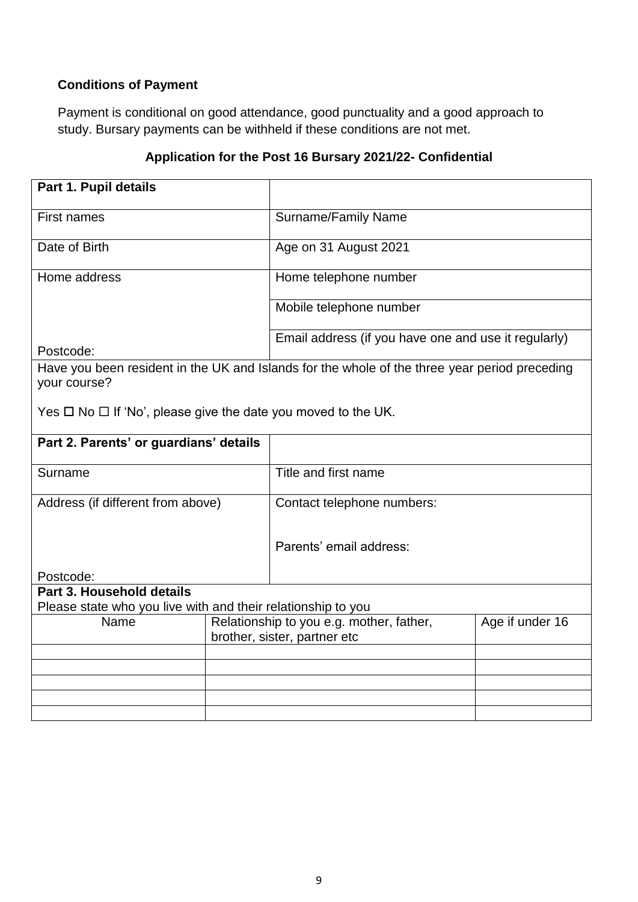# **Conditions of Payment**

Payment is conditional on good attendance, good punctuality and a good approach to study. Bursary payments can be withheld if these conditions are not met.

## **Application for the Post 16 Bursary 2021/22- Confidential**

| Part 1. Pupil details                                                                     |  |                                                                                               |                 |  |
|-------------------------------------------------------------------------------------------|--|-----------------------------------------------------------------------------------------------|-----------------|--|
| <b>First names</b>                                                                        |  | Surname/Family Name                                                                           |                 |  |
| Date of Birth                                                                             |  | Age on 31 August 2021                                                                         |                 |  |
| Home address                                                                              |  | Home telephone number                                                                         |                 |  |
|                                                                                           |  | Mobile telephone number                                                                       |                 |  |
| Postcode:                                                                                 |  | Email address (if you have one and use it regularly)                                          |                 |  |
| your course?                                                                              |  | Have you been resident in the UK and Islands for the whole of the three year period preceding |                 |  |
| Yes $\Box$ No $\Box$ If 'No', please give the date you moved to the UK.                   |  |                                                                                               |                 |  |
| Part 2. Parents' or guardians' details                                                    |  |                                                                                               |                 |  |
| Surname                                                                                   |  | Title and first name                                                                          |                 |  |
| Address (if different from above)                                                         |  | Contact telephone numbers:                                                                    |                 |  |
|                                                                                           |  | Parents' email address:                                                                       |                 |  |
| Postcode:                                                                                 |  |                                                                                               |                 |  |
| Part 3. Household details<br>Please state who you live with and their relationship to you |  |                                                                                               |                 |  |
| Name                                                                                      |  | Relationship to you e.g. mother, father,<br>brother, sister, partner etc                      | Age if under 16 |  |
|                                                                                           |  |                                                                                               |                 |  |
|                                                                                           |  |                                                                                               |                 |  |
|                                                                                           |  |                                                                                               |                 |  |
|                                                                                           |  |                                                                                               |                 |  |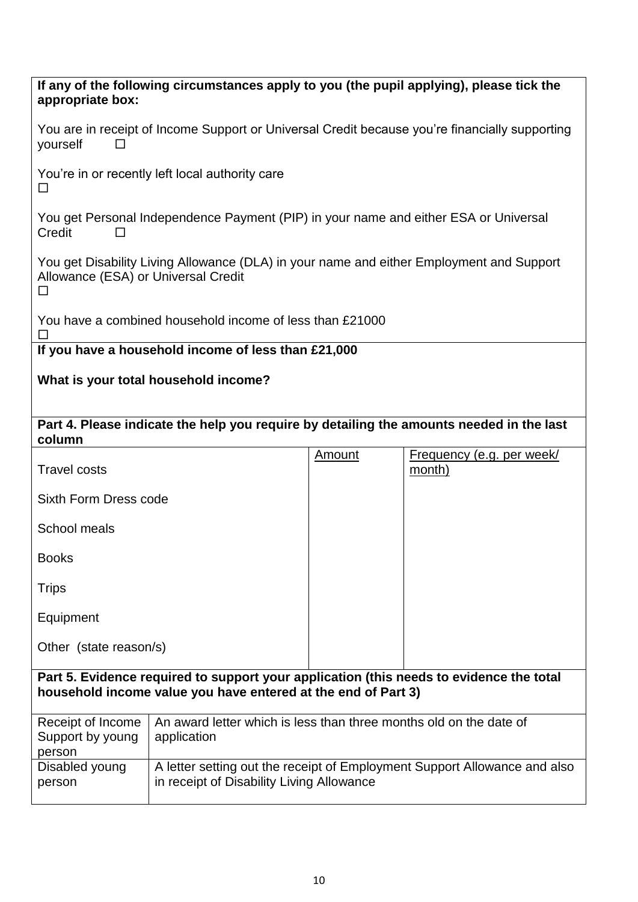| If any of the following circumstances apply to you (the pupil applying), please tick the<br>appropriate box:                                             |                                                                                                                        |               |                                                                                          |  |  |
|----------------------------------------------------------------------------------------------------------------------------------------------------------|------------------------------------------------------------------------------------------------------------------------|---------------|------------------------------------------------------------------------------------------|--|--|
| You are in receipt of Income Support or Universal Credit because you're financially supporting<br>yourself                                               |                                                                                                                        |               |                                                                                          |  |  |
| You're in or recently left local authority care<br>$\Box$                                                                                                |                                                                                                                        |               |                                                                                          |  |  |
| You get Personal Independence Payment (PIP) in your name and either ESA or Universal<br>Credit<br>$\mathsf{L}$                                           |                                                                                                                        |               |                                                                                          |  |  |
| You get Disability Living Allowance (DLA) in your name and either Employment and Support<br>Allowance (ESA) or Universal Credit<br>□                     |                                                                                                                        |               |                                                                                          |  |  |
| You have a combined household income of less than £21000<br>ΙI                                                                                           |                                                                                                                        |               |                                                                                          |  |  |
|                                                                                                                                                          | If you have a household income of less than £21,000                                                                    |               |                                                                                          |  |  |
|                                                                                                                                                          | What is your total household income?                                                                                   |               |                                                                                          |  |  |
|                                                                                                                                                          |                                                                                                                        |               |                                                                                          |  |  |
| column                                                                                                                                                   |                                                                                                                        |               | Part 4. Please indicate the help you require by detailing the amounts needed in the last |  |  |
| <b>Travel costs</b>                                                                                                                                      |                                                                                                                        | <b>Amount</b> | <u>Frequency (e.g. per week/</u><br>month)                                               |  |  |
| Sixth Form Dress code                                                                                                                                    |                                                                                                                        |               |                                                                                          |  |  |
| School meals                                                                                                                                             |                                                                                                                        |               |                                                                                          |  |  |
| <b>Books</b>                                                                                                                                             |                                                                                                                        |               |                                                                                          |  |  |
| Trips                                                                                                                                                    |                                                                                                                        |               |                                                                                          |  |  |
| Equipment                                                                                                                                                |                                                                                                                        |               |                                                                                          |  |  |
| Other (state reason/s)                                                                                                                                   |                                                                                                                        |               |                                                                                          |  |  |
| Part 5. Evidence required to support your application (this needs to evidence the total<br>household income value you have entered at the end of Part 3) |                                                                                                                        |               |                                                                                          |  |  |
|                                                                                                                                                          |                                                                                                                        |               |                                                                                          |  |  |
| Receipt of Income<br>Support by young<br>person                                                                                                          | An award letter which is less than three months old on the date of<br>application                                      |               |                                                                                          |  |  |
| Disabled young<br>person                                                                                                                                 | A letter setting out the receipt of Employment Support Allowance and also<br>in receipt of Disability Living Allowance |               |                                                                                          |  |  |